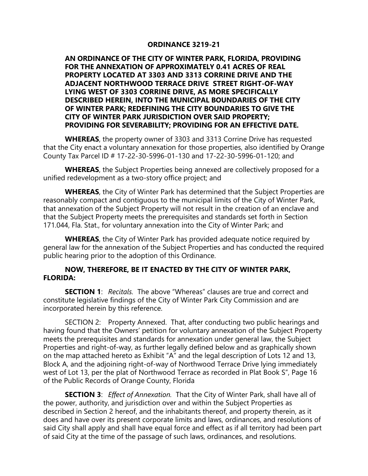## **ORDINANCE 3219-21**

**AN ORDINANCE OF THE CITY OF WINTER PARK, FLORIDA, PROVIDING FOR THE ANNEXATION OF APPROXIMATELY 0.41 ACRES OF REAL PROPERTY LOCATED AT 3303 AND 3313 CORRINE DRIVE AND THE ADJACENT NORTHWOOD TERRACE DRIVE STREET RIGHT-OF-WAY LYING WEST OF 3303 CORRINE DRIVE, AS MORE SPECIFICALLY DESCRIBED HEREIN, INTO THE MUNICIPAL BOUNDARIES OF THE CITY OF WINTER PARK; REDEFINING THE CITY BOUNDARIES TO GIVE THE CITY OF WINTER PARK JURISDICTION OVER SAID PROPERTY; PROVIDING FOR SEVERABILITY; PROVIDING FOR AN EFFECTIVE DATE.** 

**WHEREAS**, the property owner of 3303 and 3313 Corrine Drive has requested that the City enact a voluntary annexation for those properties, also identified by Orange County Tax Parcel ID # 17-22-30-5996-01-130 and 17-22-30-5996-01-120; and

**WHEREAS**, the Subject Properties being annexed are collectively proposed for a unified redevelopment as a two-story office project; and

**WHEREAS**, the City of Winter Park has determined that the Subject Properties are reasonably compact and contiguous to the municipal limits of the City of Winter Park, that annexation of the Subject Property will not result in the creation of an enclave and that the Subject Property meets the prerequisites and standards set forth in Section 171.044, Fla. Stat., for voluntary annexation into the City of Winter Park; and

**WHEREAS**, the City of Winter Park has provided adequate notice required by general law for the annexation of the Subject Properties and has conducted the required public hearing prior to the adoption of this Ordinance.

## **NOW, THEREFORE, BE IT ENACTED BY THE CITY OF WINTER PARK, FLORIDA:**

**SECTION 1**: *Recitals.* The above "Whereas" clauses are true and correct and constitute legislative findings of the City of Winter Park City Commission and are incorporated herein by this reference.

SECTION 2: Property Annexed. That, after conducting two public hearings and having found that the Owners' petition for voluntary annexation of the Subject Property meets the prerequisites and standards for annexation under general law, the Subject Properties and right-of-way, as further legally defined below and as graphically shown on the map attached hereto as Exhibit "A" and the legal description of Lots 12 and 13, Block A, and the adjoining right-of-way of Northwood Terrace Drive lying immediately west of Lot 13, per the plat of Northwood Terrace as recorded in Plat Book S", Page 16 of the Public Records of Orange County, Florida

**SECTION 3**: *Effect of Annexation.* That the City of Winter Park, shall have all of the power, authority, and jurisdiction over and within the Subject Properties as described in Section 2 hereof, and the inhabitants thereof, and property therein, as it does and have over its present corporate limits and laws, ordinances, and resolutions of said City shall apply and shall have equal force and effect as if all territory had been part of said City at the time of the passage of such laws, ordinances, and resolutions.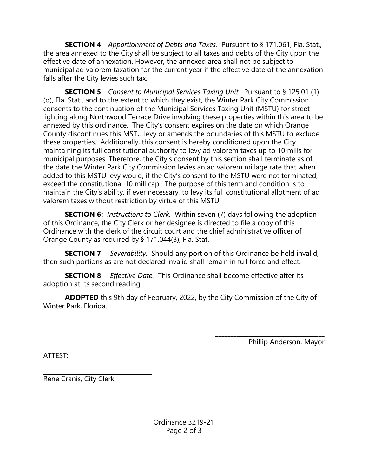**SECTION 4**: *Apportionment of Debts and Taxes.* Pursuant to § 171.061, Fla. Stat., the area annexed to the City shall be subject to all taxes and debts of the City upon the effective date of annexation. However, the annexed area shall not be subject to municipal ad valorem taxation for the current year if the effective date of the annexation falls after the City levies such tax.

**SECTION 5**: *Consent to Municipal Services Taxing Unit.* Pursuant to § 125.01 (1) (q), Fla. Stat., and to the extent to which they exist, the Winter Park City Commission consents to the continuation of the Municipal Services Taxing Unit (MSTU) for street lighting along Northwood Terrace Drive involving these properties within this area to be annexed by this ordinance. The City's consent expires on the date on which Orange County discontinues this MSTU levy or amends the boundaries of this MSTU to exclude these properties. Additionally, this consent is hereby conditioned upon the City maintaining its full constitutional authority to levy ad valorem taxes up to 10 mills for municipal purposes. Therefore, the City's consent by this section shall terminate as of the date the Winter Park City Commission levies an ad valorem millage rate that when added to this MSTU levy would, if the City's consent to the MSTU were not terminated, exceed the constitutional 10 mill cap. The purpose of this term and condition is to maintain the City's ability, if ever necessary, to levy its full constitutional allotment of ad valorem taxes without restriction by virtue of this MSTU.

**SECTION 6:** *Instructions to Clerk.* Within seven (7) days following the adoption of this Ordinance, the City Clerk or her designee is directed to file a copy of this Ordinance with the clerk of the circuit court and the chief administrative officer of Orange County as required by § 171.044(3), Fla. Stat.

**SECTION 7**: *Severability.* Should any portion of this Ordinance be held invalid, then such portions as are not declared invalid shall remain in full force and effect.

**SECTION 8**: *Effective Date.* This Ordinance shall become effective after its adoption at its second reading.

**ADOPTED** this 9th day of February, 2022, by the City Commission of the City of Winter Park, Florida.

Phillip Anderson, Mayor

\_\_\_\_\_\_\_\_\_\_\_\_\_\_\_\_\_\_\_\_\_\_\_\_\_\_\_\_\_\_\_\_\_\_\_\_

ATTEST:

Rene Cranis, City Clerk